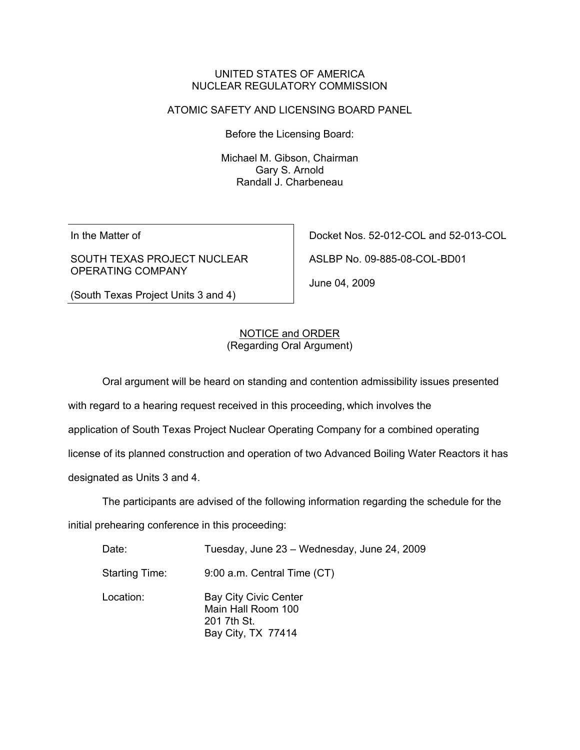#### UNITED STATES OF AMERICA NUCLEAR REGULATORY COMMISSION

### ATOMIC SAFETY AND LICENSING BOARD PANEL

Before the Licensing Board:

Michael M. Gibson, Chairman Gary S. Arnold Randall J. Charbeneau

In the Matter of

SOUTH TEXAS PROJECT NUCLEAR OPERATING COMPANY

Docket Nos. 52-012-COL and 52-013-COL

ASLBP No. 09-885-08-COL-BD01

June 04, 2009

(South Texas Project Units 3 and 4)

## NOTICE and ORDER (Regarding Oral Argument)

Oral argument will be heard on standing and contention admissibility issues presented

with regard to a hearing request received in this proceeding, which involves the

application of South Texas Project Nuclear Operating Company for a combined operating

license of its planned construction and operation of two Advanced Boiling Water Reactors it has

designated as Units 3 and 4.

The participants are advised of the following information regarding the schedule for the

initial prehearing conference in this proceeding:

| Date:                 | Tuesday, June 23 - Wednesday, June 24, 2009                                             |
|-----------------------|-----------------------------------------------------------------------------------------|
| <b>Starting Time:</b> | 9:00 a.m. Central Time (CT)                                                             |
| Location:             | <b>Bay City Civic Center</b><br>Main Hall Room 100<br>201 7th St.<br>Bay City, TX 77414 |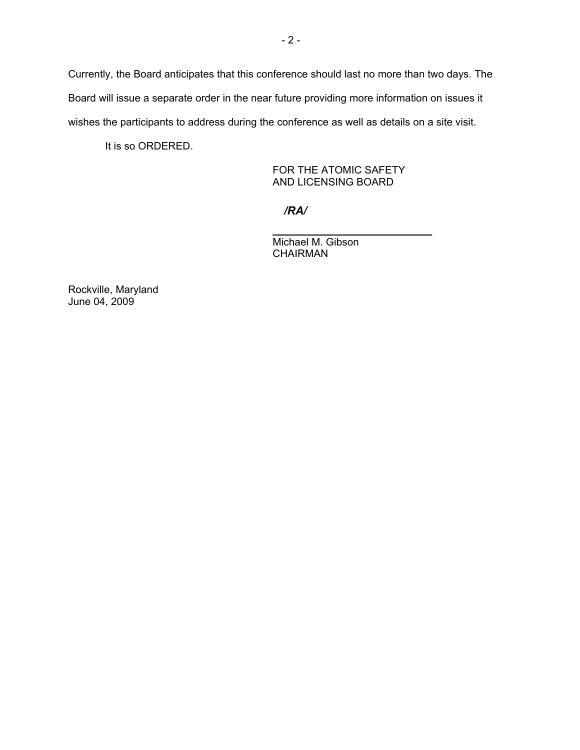Currently, the Board anticipates that this conference should last no more than two days. The Board will issue a separate order in the near future providing more information on issues it wishes the participants to address during the conference as well as details on a site visit.

It is so ORDERED.

 FOR THE ATOMIC SAFETY AND LICENSING BOARD

*/RA/*

 $\frac{1}{\sqrt{2}}$  , and the set of the set of the set of the set of the set of the set of the set of the set of the set of the set of the set of the set of the set of the set of the set of the set of the set of the set of the

 Michael M. Gibson CHAIRMAN

Rockville, Maryland June 04, 2009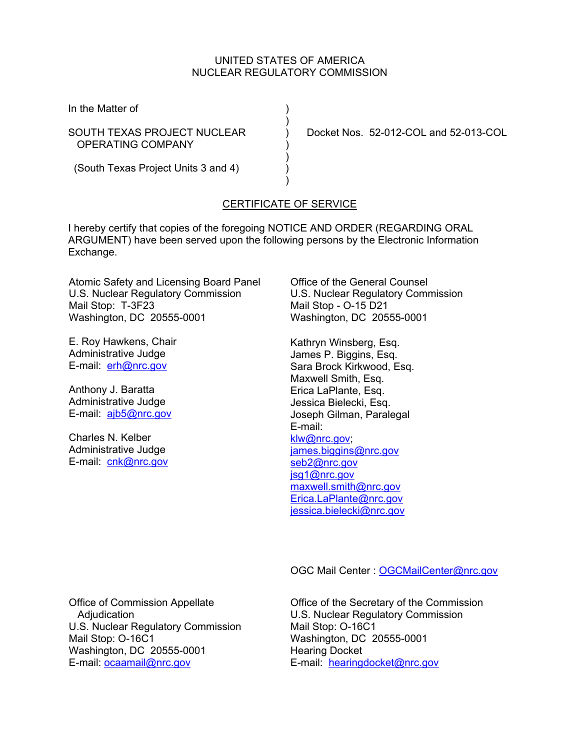### UNITED STATES OF AMERICA NUCLEAR REGULATORY COMMISSION

In the Matter of (1)

OPERATING COMPANY )

 $)$ 

 $)$ 

SOUTH TEXAS PROJECT NUCLEAR ) Docket Nos. 52-012-COL and 52-013-COL

 $)$ (South Texas Project Units 3 and 4) )

# CERTIFICATE OF SERVICE

I hereby certify that copies of the foregoing NOTICE AND ORDER (REGARDING ORAL ARGUMENT) have been served upon the following persons by the Electronic Information Exchange.

Atomic Safety and Licensing Board Panel U.S. Nuclear Regulatory Commission Mail Stop: T-3F23 Washington, DC 20555-0001

E. Roy Hawkens, Chair Administrative Judge E-mail: erh@nrc.gov

Anthony J. Baratta Administrative Judge E-mail: ajb5@nrc.gov

Charles N. Kelber Administrative Judge E-mail: cnk@nrc.gov Office of the General Counsel U.S. Nuclear Regulatory Commission Mail Stop - O-15 D21 Washington, DC 20555-0001

Kathryn Winsberg, Esq. James P. Biggins, Esq. Sara Brock Kirkwood, Esq. Maxwell Smith, Esq. Erica LaPlante, Esq. Jessica Bielecki, Esq. Joseph Gilman, Paralegal E-mail: klw@nrc.gov; james.biggins@nrc.gov seb2@nrc.gov jsg1@nrc.gov maxwell.smith@nrc.gov Erica.LaPlante@nrc.gov jessica.bielecki@nrc.gov

OGC Mail Center : OGCMailCenter@nrc.gov

Office of Commission Appellate Adjudication U.S. Nuclear Regulatory Commission Mail Stop: O-16C1 Washington, DC 20555-0001 E-mail: ocaamail@nrc.gov

Office of the Secretary of the Commission U.S. Nuclear Regulatory Commission Mail Stop: O-16C1 Washington, DC 20555-0001 Hearing Docket E-mail: hearingdocket@nrc.gov